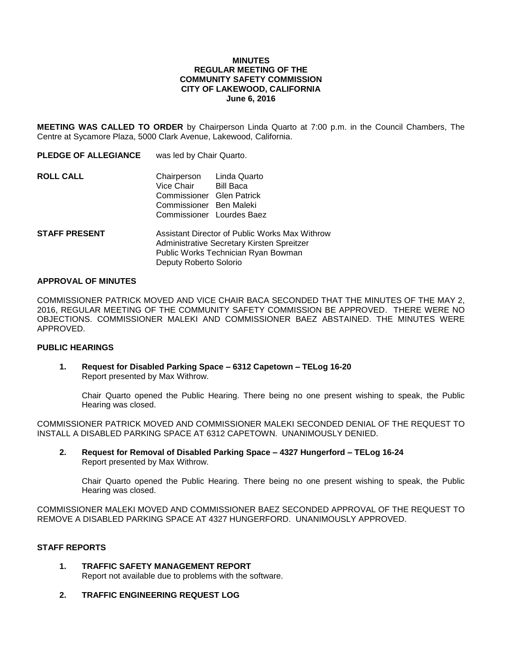### **MINUTES REGULAR MEETING OF THE COMMUNITY SAFETY COMMISSION CITY OF LAKEWOOD, CALIFORNIA June 6, 2016**

**MEETING WAS CALLED TO ORDER** by Chairperson Linda Quarto at 7:00 p.m. in the Council Chambers, The Centre at Sycamore Plaza, 5000 Clark Avenue, Lakewood, California.

| <b>PLEDGE OF ALLEGIANCE</b> | was led by Chair Quarto.                                                                                                            |                                        |
|-----------------------------|-------------------------------------------------------------------------------------------------------------------------------------|----------------------------------------|
| <b>ROLL CALL</b>            | Chairperson Linda Quarto<br>Vice Chair<br>Commissioner Glen Patrick<br>Commissioner Ben Maleki                                      | Bill Baca<br>Commissioner Lourdes Baez |
| <b>STAFF PRESENT</b>        | Assistant Director of Public Works Max Withrow<br>Administrative Secretary Kirsten Spreitzer<br>Public Works Technician Ryan Bowman |                                        |

#### **APPROVAL OF MINUTES**

COMMISSIONER PATRICK MOVED AND VICE CHAIR BACA SECONDED THAT THE MINUTES OF THE MAY 2, 2016, REGULAR MEETING OF THE COMMUNITY SAFETY COMMISSION BE APPROVED. THERE WERE NO OBJECTIONS. COMMISSIONER MALEKI AND COMMISSIONER BAEZ ABSTAINED. THE MINUTES WERE APPROVED.

#### **PUBLIC HEARINGS**

**1. Request for Disabled Parking Space – 6312 Capetown – TELog 16-20** Report presented by Max Withrow.

Deputy Roberto Solorio

Chair Quarto opened the Public Hearing. There being no one present wishing to speak, the Public Hearing was closed.

COMMISSIONER PATRICK MOVED AND COMMISSIONER MALEKI SECONDED DENIAL OF THE REQUEST TO INSTALL A DISABLED PARKING SPACE AT 6312 CAPETOWN. UNANIMOUSLY DENIED.

**2. Request for Removal of Disabled Parking Space – 4327 Hungerford – TELog 16-24** Report presented by Max Withrow.

Chair Quarto opened the Public Hearing. There being no one present wishing to speak, the Public Hearing was closed.

COMMISSIONER MALEKI MOVED AND COMMISSIONER BAEZ SECONDED APPROVAL OF THE REQUEST TO REMOVE A DISABLED PARKING SPACE AT 4327 HUNGERFORD. UNANIMOUSLY APPROVED.

### **STAFF REPORTS**

- **1. TRAFFIC SAFETY MANAGEMENT REPORT** Report not available due to problems with the software.
- **2. TRAFFIC ENGINEERING REQUEST LOG**